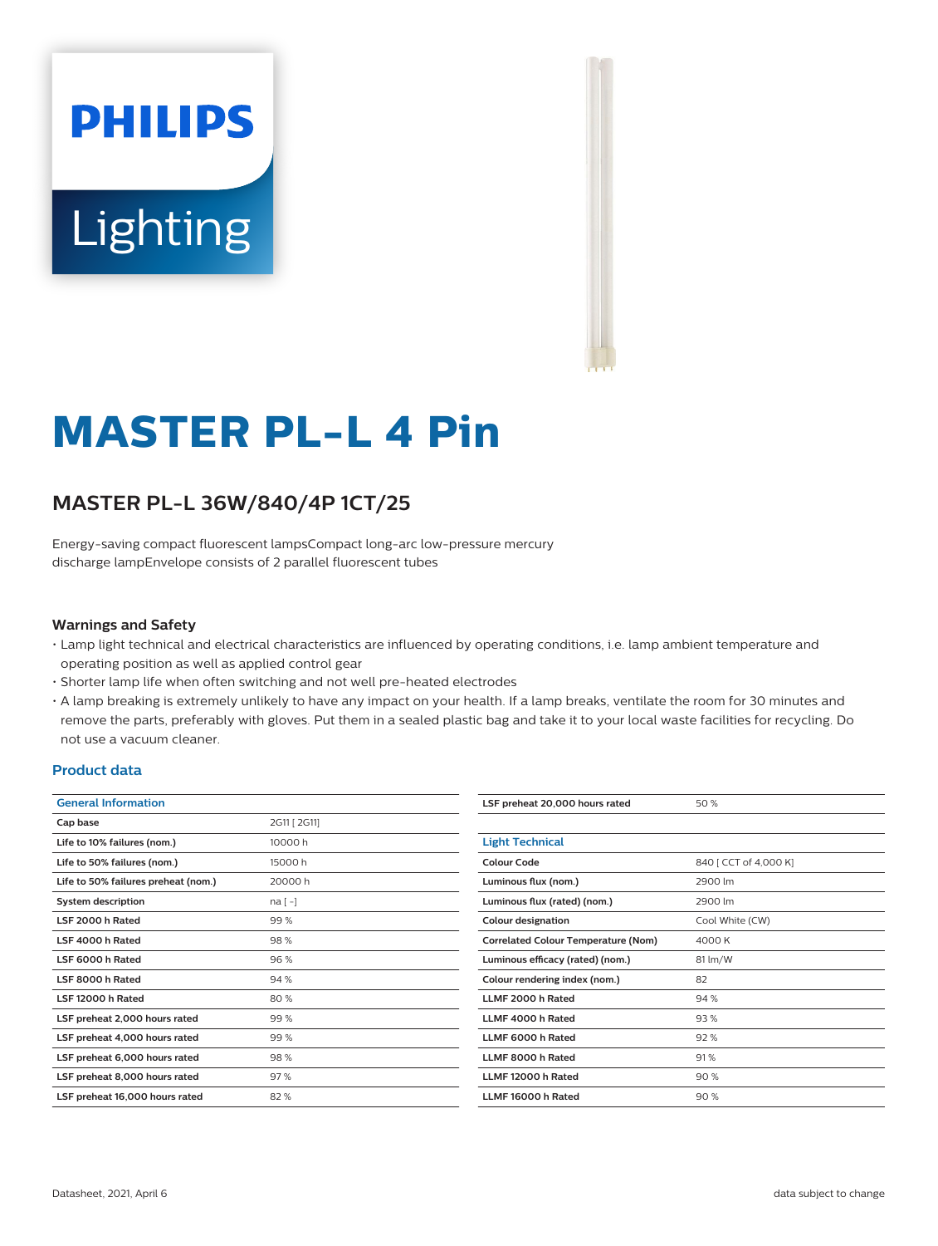# **PHILIPS Lighting**



# **MASTER PL-L 4 Pin**

# **MASTER PL-L 36W/840/4P 1CT/25**

Energy-saving compact fluorescent lampsCompact long-arc low-pressure mercury discharge lampEnvelope consists of 2 parallel fluorescent tubes

#### **Warnings and Safety**

- Lamp light technical and electrical characteristics are influenced by operating conditions, i.e. lamp ambient temperature and operating position as well as applied control gear
- Shorter lamp life when often switching and not well pre-heated electrodes
- A lamp breaking is extremely unlikely to have any impact on your health. If a lamp breaks, ventilate the room for 30 minutes and remove the parts, preferably with gloves. Put them in a sealed plastic bag and take it to your local waste facilities for recycling. Do not use a vacuum cleaner.

#### **Product data**

| <b>General Information</b>          |              | LSF preheat 20,00         |
|-------------------------------------|--------------|---------------------------|
| Cap base                            | 2G11 [ 2G11] |                           |
| Life to 10% failures (nom.)         | 10000 h      | <b>Light Technical</b>    |
| Life to 50% failures (nom.)         | 15000 h      | Colour Code               |
| Life to 50% failures preheat (nom.) | 20000 h      | Luminous flux (nor        |
| <b>System description</b>           | $na[-]$      | Luminous flux (rate       |
| LSF 2000 h Rated                    | 99%          | <b>Colour designation</b> |
| LSF 4000 h Rated                    | 98%          | Correlated Colour         |
| LSF 6000 h Rated                    | 96%          | Luminous efficacy         |
| LSF 8000 h Rated                    | 94%          | Colour rendering in       |
| LSF 12000 h Rated                   | 80%          | LLMF 2000 h Rate          |
| LSF preheat 2,000 hours rated       | 99%          | LLMF 4000 h Rate          |
| LSF preheat 4,000 hours rated       | 99%          | LLMF 6000 h Rate          |
| LSF preheat 6,000 hours rated       | 98%          | LLMF 8000 h Rate          |
| LSF preheat 8,000 hours rated       | 97%          | <b>LLMF 12000 h Rat</b>   |
| LSF preheat 16,000 hours rated      | 82%          | <b>LLMF 16000 h Rat</b>   |
|                                     |              |                           |

| LSF preheat 20,000 hours rated             | 50 %                  |
|--------------------------------------------|-----------------------|
|                                            |                       |
| <b>Light Technical</b>                     |                       |
| Colour Code                                | 840   CCT of 4,000 K] |
| Luminous flux (nom.)                       | 2900 lm               |
| Luminous flux (rated) (nom.)               | 2900 lm               |
| <b>Colour designation</b>                  | Cool White (CW)       |
| <b>Correlated Colour Temperature (Nom)</b> | 4000 K                |
| Luminous efficacy (rated) (nom.)           | 81 lm/W               |
| Colour rendering index (nom.)              | 82                    |
| LLMF 2000 h Rated                          | 94 %                  |
| LLMF 4000 h Rated                          | 93%                   |
| LLMF 6000 h Rated                          | 92%                   |
| LLMF 8000 h Rated                          | 91%                   |
| LLMF 12000 h Rated                         | 90%                   |
| LLMF 16000 h Rated                         | 90%                   |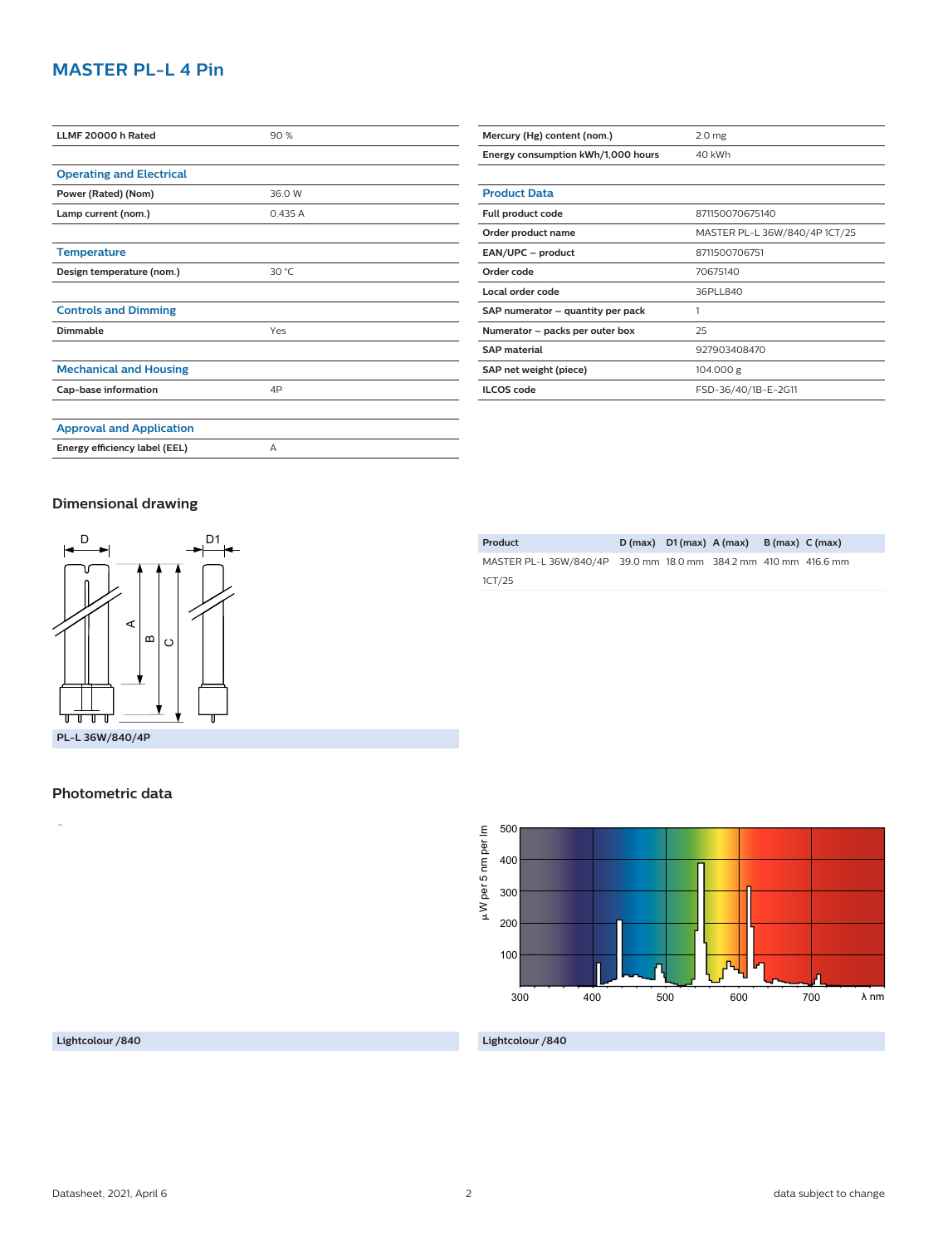## **MASTER PL-L 4 Pin**

| LLMF 20000 h Rated              | 90%    |
|---------------------------------|--------|
|                                 |        |
| <b>Operating and Electrical</b> |        |
| Power (Rated) (Nom)             | 36.0 W |
| Lamp current (nom.)             | 0.435A |
|                                 |        |
| <b>Temperature</b>              |        |
| Design temperature (nom.)       | 30 °C  |
|                                 |        |
| <b>Controls and Dimming</b>     |        |
| <b>Dimmable</b>                 | Yes    |
|                                 |        |
| <b>Mechanical and Housing</b>   |        |
| Cap-base information            | 4P     |
|                                 |        |
| <b>Approval and Application</b> |        |
| Energy efficiency label (EEL)   | A      |

| Mercury (Hg) content (nom.)        | 2.0 <sub>mg</sub>             |
|------------------------------------|-------------------------------|
| Energy consumption kWh/1,000 hours | 40 kWh                        |
|                                    |                               |
| <b>Product Data</b>                |                               |
| Full product code                  | 871150070675140               |
| Order product name                 | MASTER PL-L 36W/840/4P 1CT/25 |
| EAN/UPC - product                  | 8711500706751                 |
| Order code                         | 70675140                      |
| Local order code                   | 36PLL840                      |
| SAP numerator - quantity per pack  |                               |

**Numerator – packs per outer box** 25

**SAP material** 927903408470 **SAP net weight (piece)** 104.000 g

**ILCOS code** FSD-36/40/1B-E-2G11

#### **Dimensional drawing**



**Product D (max) D1 (max) A (max) B (max) C (max)** MASTER PL-L 36W/840/4P 39.0 mm 18.0 mm 384.2 mm 410 mm 416.6 mm 1CT/25



#### **Lightcolour /840**

**Lightcolour /840**

# **Photometric data**